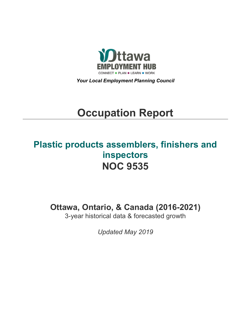

*Your Local Employment Planning Council*

# **Occupation Report**

# **Plastic products assemblers, finishers and inspectors NOC 9535**

**Ottawa, Ontario, & Canada (2016-2021)**

3-year historical data & forecasted growth

*Updated May 2019*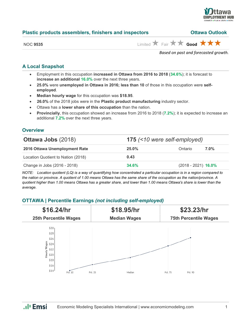

| <b>Plastic products assemblers, finishers and inspectors</b> | <b>Ottawa Outlook</b> |                                                                               |
|--------------------------------------------------------------|-----------------------|-------------------------------------------------------------------------------|
| <b>NOC 9535</b>                                              |                       | Limited $\bigstar$ Fair $\bigstar \bigstar$ Good $\bigstar \bigstar \bigstar$ |
|                                                              |                       |                                                                               |

*Based on past and forecasted growth.*

#### **A Local Snapshot**

- Employment in this occupation **increased in Ottawa from 2016 to 2018** (**34.6%**); it is forecast to **increase an additional 16.0%** over the next three years.
- **25.0%** were **unemployed in Ottawa in 2016; less than 10** of those in this occupation were **selfemployed**.
- **Median hourly wage** for this occupation was **\$18.95**.
- **26.0%** of the 2018 jobs were in the **Plastic product manufacturing** industry sector.
- Ottawa has a **lower share of this occupation** than the nation.
- **Provincially**, this occupation showed an increase from 2016 to 2018 (**7.2%**); it is expected to increase an additional **7.2%** over the next three years.

#### **Overview**

| <b>Ottawa Jobs (2018)</b>          | 175 (<10 were self-employed) |                       |         |
|------------------------------------|------------------------------|-----------------------|---------|
| 2016 Ottawa Unemployment Rate      | $25.0\%$                     | Ontario               | $7.0\%$ |
| Location Quotient to Nation (2018) | 0.43                         |                       |         |
| Change in Jobs (2016 - 2018)       | 34.6%                        | $(2018 - 2021)$ 16.0% |         |

*NOTE: Location quotient (LQ) is a way of quantifying how concentrated a particular occupation is in a region compared to the nation or province. A quotient of 1.00 means Ottawa has the same share of the occupation as the nation/province. A quotient higher than 1.00 means Ottawa has a greater share, and lower than 1.00 means Ottawa's share is lower than the average.*

#### **OTTAWA | Percentile Earnings** *(not including self-employed)*



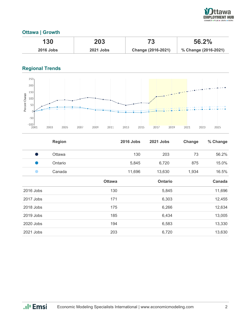

### **Ottawa | Growth**

| 130              | 203              |                    | 56.2%                |
|------------------|------------------|--------------------|----------------------|
| <b>2016 Jobs</b> | <b>2021 Jobs</b> | Change (2016-2021) | % Change (2016-2021) |

## **Regional Trends**



|           | <b>Region</b> |               | <b>2016 Jobs</b> | <b>2021 Jobs</b> | Change | % Change |
|-----------|---------------|---------------|------------------|------------------|--------|----------|
| Ð         | Ottawa        |               | 130              | 203              | 73     | 56.2%    |
|           | Ontario       |               | 5,845            | 6,720            | 875    | 15.0%    |
|           | Canada        |               | 11,696           | 13,630           | 1,934  | 16.5%    |
|           |               | <b>Ottawa</b> |                  | <b>Ontario</b>   |        | Canada   |
| 2016 Jobs |               | 130           |                  | 5,845            |        | 11,696   |
| 2017 Jobs |               | 171           |                  | 6,303            |        | 12,455   |
| 2018 Jobs |               | 175           |                  | 6,266            |        | 12,634   |
| 2019 Jobs |               | 185           |                  | 6,434            |        | 13,005   |
| 2020 Jobs |               | 194           |                  | 6,583            |        | 13,330   |
| 2021 Jobs |               | 203           |                  | 6,720            |        | 13,630   |

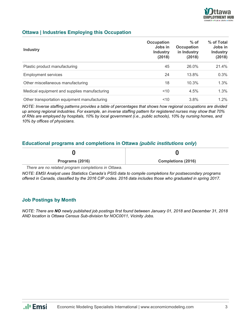

#### **Ottawa | Industries Employing this Occupation**

| <b>Industry</b>                              | Occupation<br>Jobs in<br><b>Industry</b><br>(2018) | $%$ of<br><b>Occupation</b><br>in Industry<br>(2018) | % of Total<br>Jobs in<br><b>Industry</b><br>(2018) |
|----------------------------------------------|----------------------------------------------------|------------------------------------------------------|----------------------------------------------------|
| Plastic product manufacturing                | 45                                                 | 26.0%                                                | 21.4%                                              |
| <b>Employment services</b>                   | 24                                                 | 13.8%                                                | 0.3%                                               |
| Other miscellaneous manufacturing            | 18                                                 | 10.3%                                                | 1.3%                                               |
| Medical equipment and supplies manufacturing | $<$ 10                                             | 4.5%                                                 | 1.3%                                               |
| Other transportation equipment manufacturing | 10                                                 | 3.8%                                                 | $1.2\%$                                            |

*NOTE: Inverse staffing patterns provides a table of percentages that shows how regional occupations are divided up among regional industries. For example, an inverse staffing pattern for registered nurses may show that 70% of RNs are employed by hospitals, 10% by local government (i.e., public schools), 10% by nursing homes, and 10% by offices of physicians.*

#### **Educational programs and completions in Ottawa** *(public institutions only***)**

| Programs (2016) | <b>Completions (2016)</b> |
|-----------------|---------------------------|
| . .<br>.        |                           |

*There are no related program completions in Ottawa.*

*NOTE: EMSI Analyst uses Statistics Canada's PSIS data to compile completions for postsecondary programs offered in Canada, classified by the 2016 CIP codes. 2016 data includes those who graduated in spring 2017.*

#### **Job Postings by Month**

*NOTE: There are NO newly published job postings first found between January 01, 2018 and December 31, 2018 AND location is Ottawa Census Sub-division for NOC0011, Vicinity Jobs.*